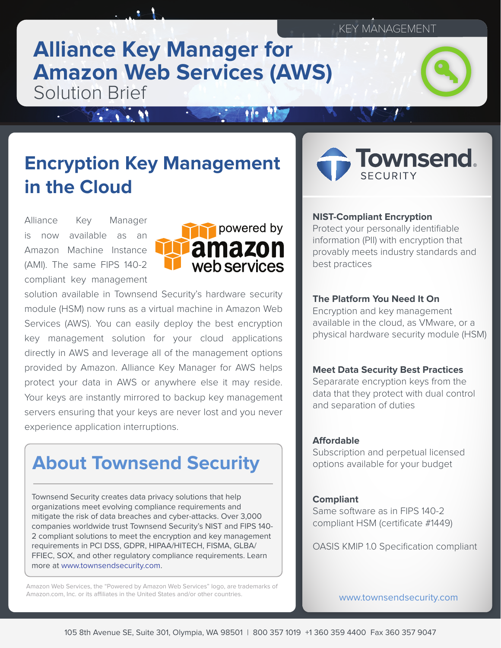## **Alliance Key Manager for Amazon Web Services (AWS)** Solution Brief

# **Encryption Key Management in the Cloud**

Alliance Key Manager is now available as an Amazon Machine Instance (AMI). The same FIPS 140-2 compliant key management

**SALES ST** 



solution available in Townsend Security's hardware security module (HSM) now runs as a virtual machine in Amazon Web Services (AWS). You can easily deploy the best encryption key management solution for your cloud applications directly in AWS and leverage all of the management options provided by Amazon. Alliance Key Manager for AWS helps protect your data in AWS or anywhere else it may reside. Your keys are instantly mirrored to backup key management servers ensuring that your keys are never lost and you never experience application interruptions.

# **About Townsend Security**

Townsend Security creates data privacy solutions that help organizations meet evolving compliance requirements and mitigate the risk of data breaches and cyber-attacks. Over 3,000 companies worldwide trust Townsend Security's NIST and FIPS 140- 2 compliant solutions to meet the encryption and key management requirements in PCI DSS, GDPR, HIPAA/HITECH, FISMA, GLBA/ FFIEC, SOX, and other regulatory compliance requirements. Learn more at [www.townsendsecurity.com](http://www.townsendsecurity.com).

Amazon Web Services, the "Powered by Amazon Web Services" logo, are trademarks of Amazon.com, Inc. or its affiliates in the United States and/or other countries.



#### **NIST-Compliant Encryption**

Protect your personally identifiable information (PII) with encryption that provably meets industry standards and best practices

#### **The Platform You Need It On**

Encryption and key management available in the cloud, as VMware, or a physical hardware security module (HSM)

#### **Meet Data Security Best Practices**

Separarate encryption keys from the data that they protect with dual control and separation of duties

#### **Affordable**

Subscription and perpetual licensed options available for your budget

#### **Compliant**

Same software as in FIPS 140-2 compliant HSM (certificate #1449)

OASIS KMIP 1.0 Specification compliant

www.townsendsecurity.com